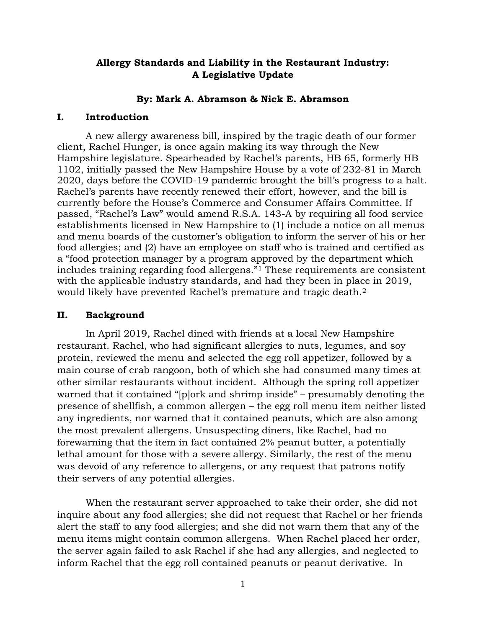# **Allergy Standards and Liability in the Restaurant Industry: A Legislative Update**

### **By: Mark A. Abramson & Nick E. Abramson**

## **I. Introduction**

A new allergy awareness bill, inspired by the tragic death of our former client, Rachel Hunger, is once again making its way through the New Hampshire legislature. Spearheaded by Rachel's parents, HB 65, formerly HB 1102, initially passed the New Hampshire House by a vote of 232-81 in March 2020, days before the COVID-19 pandemic brought the bill's progress to a halt. Rachel's parents have recently renewed their effort, however, and the bill is currently before the House's Commerce and Consumer Affairs Committee. If passed, "Rachel's Law" would amend R.S.A. 143-A by requiring all food service establishments licensed in New Hampshire to (1) include a notice on all menus and menu boards of the customer's obligation to inform the server of his or her food allergies; and (2) have an employee on staff who is trained and certified as a "food protection manager by a program approved by the department which includes training regarding food allergens."[1](#page-3-0) These requirements are consistent with the applicable industry standards, and had they been in place in 2019, would likely have prevented Rachel's premature and tragic death.<sup>[2](#page-3-1)</sup>

#### **II. Background**

In April 2019, Rachel dined with friends at a local New Hampshire restaurant. Rachel, who had significant allergies to nuts, legumes, and soy protein, reviewed the menu and selected the egg roll appetizer, followed by a main course of crab rangoon, both of which she had consumed many times at other similar restaurants without incident. Although the spring roll appetizer warned that it contained "[p]ork and shrimp inside" – presumably denoting the presence of shellfish, a common allergen – the egg roll menu item neither listed any ingredients, nor warned that it contained peanuts, which are also among the most prevalent allergens. Unsuspecting diners, like Rachel, had no forewarning that the item in fact contained 2% peanut butter, a potentially lethal amount for those with a severe allergy. Similarly, the rest of the menu was devoid of any reference to allergens, or any request that patrons notify their servers of any potential allergies.

When the restaurant server approached to take their order, she did not inquire about any food allergies; she did not request that Rachel or her friends alert the staff to any food allergies; and she did not warn them that any of the menu items might contain common allergens. When Rachel placed her order, the server again failed to ask Rachel if she had any allergies, and neglected to inform Rachel that the egg roll contained peanuts or peanut derivative. In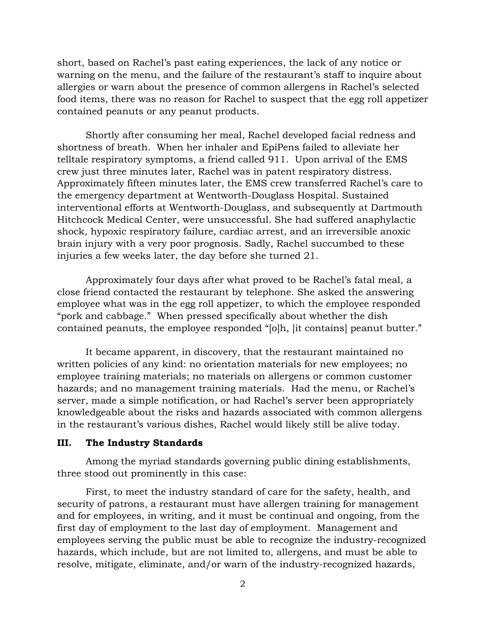short, based on Rachel's past eating experiences, the lack of any notice or warning on the menu, and the failure of the restaurant's staff to inquire about allergies or warn about the presence of common allergens in Rachel's selected food items, there was no reason for Rachel to suspect that the egg roll appetizer contained peanuts or any peanut products.

Shortly after consuming her meal, Rachel developed facial redness and shortness of breath. When her inhaler and EpiPens failed to alleviate her telltale respiratory symptoms, a friend called 911. Upon arrival of the EMS crew just three minutes later, Rachel was in patent respiratory distress. Approximately fifteen minutes later, the EMS crew transferred Rachel's care to the emergency department at Wentworth-Douglass Hospital. Sustained interventional efforts at Wentworth-Douglass, and subsequently at Dartmouth Hitchcock Medical Center, were unsuccessful. She had suffered anaphylactic shock, hypoxic respiratory failure, cardiac arrest, and an irreversible anoxic brain injury with a very poor prognosis. Sadly, Rachel succumbed to these injuries a few weeks later, the day before she turned 21.

 Approximately four days after what proved to be Rachel's fatal meal, a close friend contacted the restaurant by telephone. She asked the answering employee what was in the egg roll appetizer, to which the employee responded "pork and cabbage." When pressed specifically about whether the dish contained peanuts, the employee responded "[o]h, [it contains] peanut butter."

 It became apparent, in discovery, that the restaurant maintained no written policies of any kind: no orientation materials for new employees; no employee training materials; no materials on allergens or common customer hazards; and no management training materials. Had the menu, or Rachel's server, made a simple notification, or had Rachel's server been appropriately knowledgeable about the risks and hazards associated with common allergens in the restaurant's various dishes, Rachel would likely still be alive today.

## **III. The Industry Standards**

Among the myriad standards governing public dining establishments, three stood out prominently in this case:

First, to meet the industry standard of care for the safety, health, and security of patrons, a restaurant must have allergen training for management and for employees, in writing, and it must be continual and ongoing, from the first day of employment to the last day of employment. Management and employees serving the public must be able to recognize the industry-recognized hazards, which include, but are not limited to, allergens, and must be able to resolve, mitigate, eliminate, and/or warn of the industry-recognized hazards,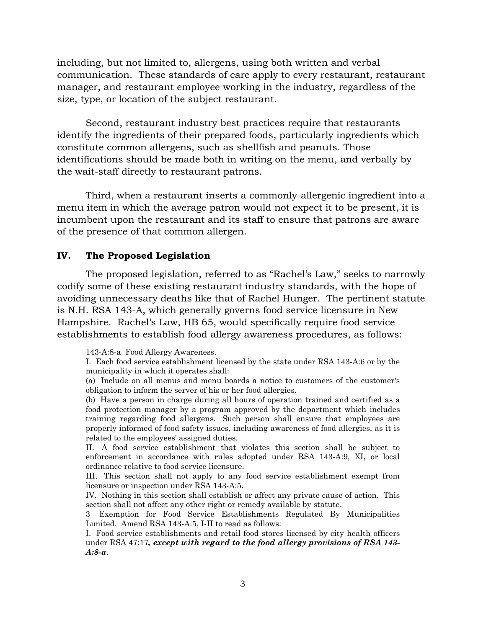including, but not limited to, allergens, using both written and verbal communication. These standards of care apply to every restaurant, restaurant manager, and restaurant employee working in the industry, regardless of the size, type, or location of the subject restaurant.

Second, restaurant industry best practices require that restaurants identify the ingredients of their prepared foods, particularly ingredients which constitute common allergens, such as shellfish and peanuts. Those identifications should be made both in writing on the menu, and verbally by the wait-staff directly to restaurant patrons.

Third, when a restaurant inserts a commonly-allergenic ingredient into a menu item in which the average patron would not expect it to be present, it is incumbent upon the restaurant and its staff to ensure that patrons are aware of the presence of that common allergen.

### **IV. The Proposed Legislation**

The proposed legislation, referred to as "Rachel's Law," seeks to narrowly codify some of these existing restaurant industry standards, with the hope of avoiding unnecessary deaths like that of Rachel Hunger. The pertinent statute is N.H. RSA 143-A, which generally governs food service licensure in New Hampshire. Rachel's Law, HB 65, would specifically require food service establishments to establish food allergy awareness procedures, as follows:

143-A:8-a Food Allergy Awareness.

I. Each food service establishment licensed by the state under RSA 143-A:6 or by the municipality in which it operates shall:

(a) Include on all menus and menu boards a notice to customers of the customer's obligation to inform the server of his or her food allergies.

(b) Have a person in charge during all hours of operation trained and certified as a food protection manager by a program approved by the department which includes training regarding food allergens. Such person shall ensure that employees are properly informed of food safety issues, including awareness of food allergies, as it is related to the employees' assigned duties.

II. A food service establishment that violates this section shall be subject to enforcement in accordance with rules adopted under RSA 143-A:9, XI, or local ordinance relative to food service licensure.

III. This section shall not apply to any food service establishment exempt from licensure or inspection under RSA 143-A:5.

IV. Nothing in this section shall establish or affect any private cause of action. This section shall not affect any other right or remedy available by statute.

3 Exemption for Food Service Establishments Regulated By Municipalities Limited. Amend RSA 143-A:5, I-II to read as follows:

I. Food service establishments and retail food stores licensed by city health officers under RSA 47:17*, except with regard to the food allergy provisions of RSA 143- A:8-a*.